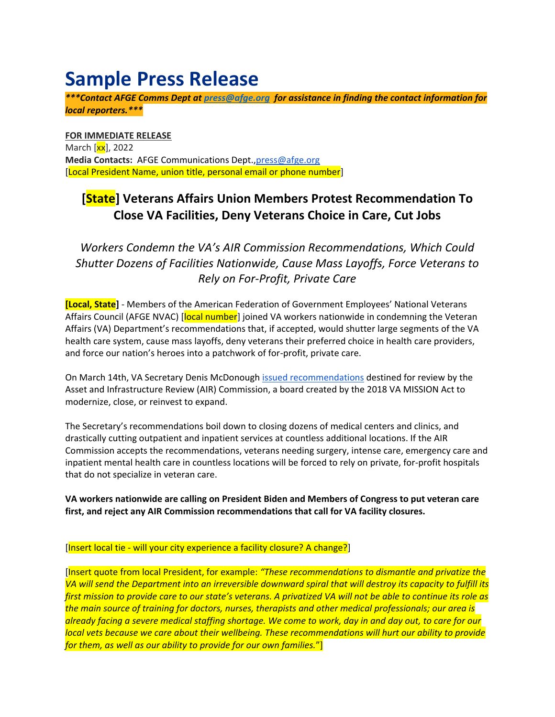## **Sample Press Release**

*\*\*\*Contact AFGE Comms Dept at [press@afge.org](mailto:press@afge.org) for assistance in finding the contact information for local reporters.\*\*\**

**FOR IMMEDIATE RELEASE** March [xx], 2022 **Media Contacts:** AFGE Communications Dept.[,press@afge.org](mailto:press@afge.org) [Local President Name, union title, personal email or phone number]

## **[State] Veterans Affairs Union Members Protest Recommendation To Close VA Facilities, Deny Veterans Choice in Care, Cut Jobs**

*Workers Condemn the VA's AIR Commission Recommendations, Which Could Shutter Dozens of Facilities Nationwide, Cause Mass Layoffs, Force Veterans to Rely on For-Profit, Private Care*

**[Local, State]** - Members of the American Federation of Government Employees' National Veterans Affairs Council (AFGE NVAC) [local number] joined VA workers nationwide in condemning the Veteran Affairs (VA) Department's recommendations that, if accepted, would shutter large segments of the VA health care system, cause mass layoffs, deny veterans their preferred choice in health care providers, and force our nation's heroes into a patchwork of for-profit, private care.

On March 14th, VA Secretary Denis McDonough [issued recommendations](https://www.va.gov/aircommissionreport/) destined for review by the Asset and Infrastructure Review (AIR) Commission, a board created by the 2018 VA MISSION Act to modernize, close, or reinvest to expand.

The Secretary's recommendations boil down to closing dozens of medical centers and clinics, and drastically cutting outpatient and inpatient services at countless additional locations. If the AIR Commission accepts the recommendations, veterans needing surgery, intense care, emergency care and inpatient mental health care in countless locations will be forced to rely on private, for-profit hospitals that do not specialize in veteran care.

**VA workers nationwide are calling on President Biden and Members of Congress to put veteran care first, and reject any AIR Commission recommendations that call for VA facility closures.** 

## [Insert local tie - will your city experience a facility closure? A change?]

[Insert quote from local President, for example: *"These recommendations to dismantle and privatize the VA will send the Department into an irreversible downward spiral that will destroy its capacity to fulfill its first mission to provide care to our state's veterans. A privatized VA will not be able to continue its role as the main source of training for doctors, nurses, therapists and other medical professionals; our area is already facing a severe medical staffing shortage. We come to work, day in and day out, to care for our local vets because we care about their wellbeing. These recommendations will hurt our ability to provide for them, as well as our ability to provide for our own families.*"]